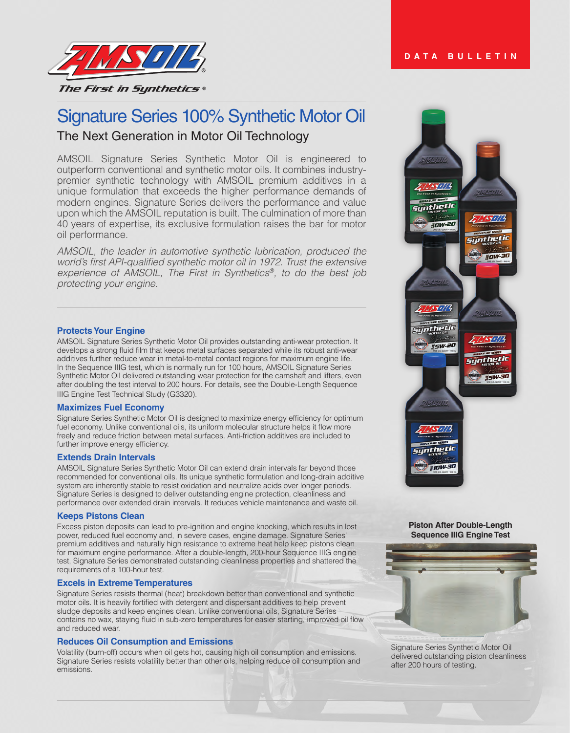# Signature Series 100% Synthetic Motor Oil The Next Generation in Motor Oil Technology

AMSOIL Signature Series Synthetic Motor Oil is engineered to outperform conventional and synthetic motor oils. It combines industrypremier synthetic technology with AMSOIL premium additives in a unique formulation that exceeds the higher performance demands of modern engines. Signature Series delivers the performance and value upon which the AMSOIL reputation is built. The culmination of more than 40 years of expertise, its exclusive formulation raises the bar for motor oil performance.

*AMSOIL, the leader in automotive synthetic lubrication, produced the*  world's first API-qualified synthetic motor oil in 1972. Trust the extensive experience of AMSOIL, The First in Synthetics*®, to do the best job*  protecting your engine.

## **Protects Your Engine**

AMSOIL Signature Series Synthetic Motor Oil provides outstanding anti-wear protection. It develops a strong fluid film that keeps metal surfaces separated while its robust anti-wear additives further reduce wear in metal-to-metal contact regions for maximum engine life. In the Sequence IIIG test, which is normally run for 100 hours, AMSOIL Signature Series Synthetic Motor Oil delivered outstanding wear protection for the camshaft and lifters, even after doubling the test interval to 200 hours. For details, see the Double-Length Sequence IIIG Engine Test Technical Study (G3320).

## **Maximizes Fuel Economy**

Signature Series Synthetic Motor Oil is designed to maximize energy efficiency for optimum fuel economy. Unlike conventional oils, its uniform molecular structure helps it flow more freely and reduce friction between metal surfaces. Anti-friction additives are included to further improve energy efficiency.

## **Extends Drain Intervals**

AMSOIL Signature Series Synthetic Motor Oil can extend drain intervals far beyond those recommended for conventional oils. Its unique synthetic formulation and long-drain additive system are inherently stable to resist oxidation and neutralize acids over longer periods. Signature Series is designed to deliver outstanding engine protection, cleanliness and performance over extended drain intervals. It reduces vehicle maintenance and waste oil.

#### **Keeps Pistons Clean**

Excess piston deposits can lead to pre-ignition and engine knocking, which results in lost power, reduced fuel economy and, in severe cases, engine damage. Signature Series' premium additives and naturally high resistance to extreme heat help keep pistons clean for maximum engine performance. After a double-length, 200-hour Sequence IIIG engine test, Signature Series demonstrated outstanding cleanliness properties and shattered the requirements of a 100-hour test.

#### **Excels in Extreme Temperatures**

Signature Series resists thermal (heat) breakdown better than conventional and synthetic motor oils. It is heavily fortified with detergent and dispersant additives to help prevent sludge deposits and keep engines clean. Unlike conventional oils, Signature Series contains no wax, staying fluid in sub-zero temperatures for easier starting, improved oil flow and reduced wear.

#### **Reduces Oil Consumption and Emissions**

Volatility (burn-off) occurs when oil gets hot, causing high oil consumption and emissions. Signature Series resists volatility better than other oils, helping reduce oil consumption and emissions.



#### **Piston After Double-Length Sequence IIIG Engine Test**



Signature Series Synthetic Motor Oil delivered outstanding piston cleanliness after 200 hours of testing.